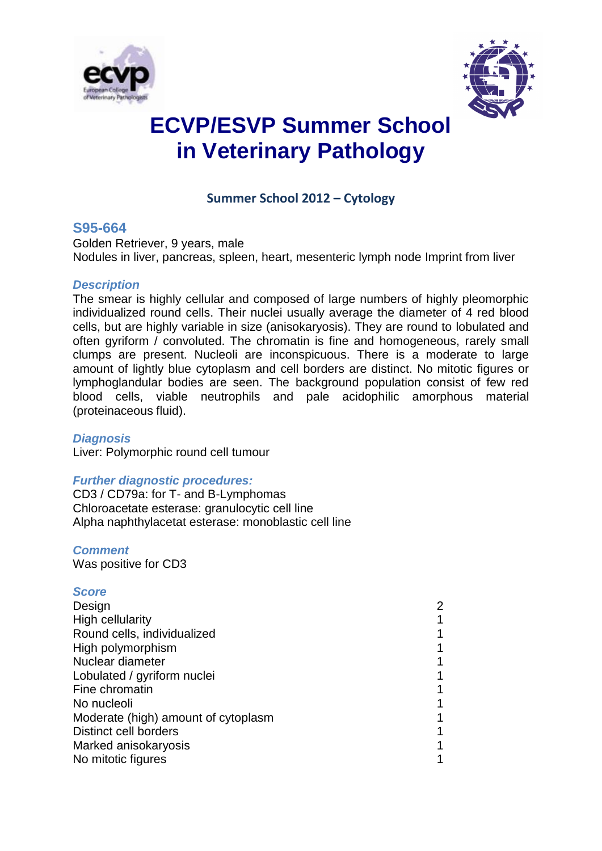



# **ECVP/ESVP Summer School in Veterinary Pathology**

# **Summer School 2012 – Cytology**

## **S95-664**

Golden Retriever, 9 years, male Nodules in liver, pancreas, spleen, heart, mesenteric lymph node Imprint from liver

### *Description*

The smear is highly cellular and composed of large numbers of highly pleomorphic individualized round cells. Their nuclei usually average the diameter of 4 red blood cells, but are highly variable in size (anisokaryosis). They are round to lobulated and often gyriform / convoluted. The chromatin is fine and homogeneous, rarely small clumps are present. Nucleoli are inconspicuous. There is a moderate to large amount of lightly blue cytoplasm and cell borders are distinct. No mitotic figures or lymphoglandular bodies are seen. The background population consist of few red blood cells, viable neutrophils and pale acidophilic amorphous material (proteinaceous fluid).

### *Diagnosis*

Liver: Polymorphic round cell tumour

### *Further diagnostic procedures:*

CD3 / CD79a: for T- and B-Lymphomas Chloroacetate esterase: granulocytic cell line Alpha naphthylacetat esterase: monoblastic cell line

### *Comment*

Was positive for CD3

### *Score*

| Design                              | 2 |
|-------------------------------------|---|
| <b>High cellularity</b>             |   |
| Round cells, individualized         |   |
| High polymorphism                   |   |
| Nuclear diameter                    |   |
| Lobulated / gyriform nuclei         |   |
| Fine chromatin                      |   |
| No nucleoli                         |   |
| Moderate (high) amount of cytoplasm |   |
| Distinct cell borders               |   |
| Marked anisokaryosis                |   |
| No mitotic figures                  |   |